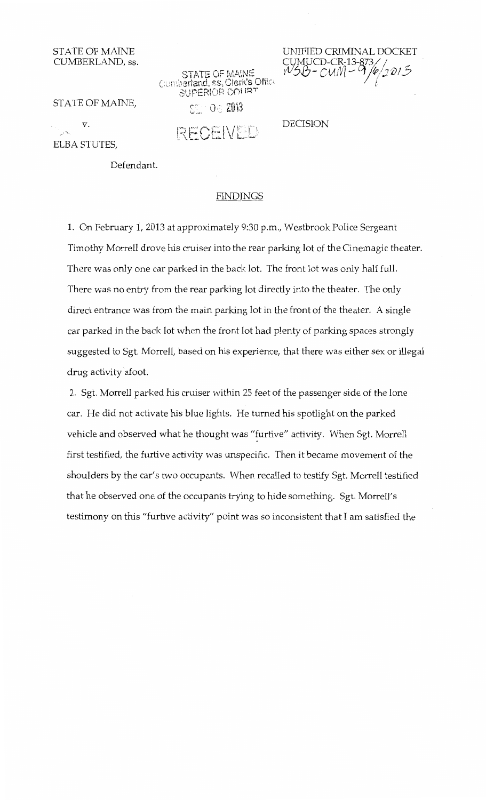## STATE OF MAINE CUMBERLAND, ss.

STATE OF MAINE<br>Cumberland, ss, Clerk's Office SUPERIOR COURT

 $\mathbb{S}^{\mathbb{S}}$  : 0.6 2013

RECEIVED

UNIFIED CRIMINAL DOCKET CUMUCD-CR<del>,</del>13-873// *VS*B-CUM-9/4/2013 [,

DECISION

STATE OF MAINE,

v. ELBA STUTES,

Defendant.

## FINDINGS

1. On February 1, 2013 at approximately 9:30 p.m., Westbrook Police Sergeant Timothy Morrell drove his cruiser into the rear parking lot of the Cinemagic theater. There was only one car parked in the back lot. The front lot was only half full. There was no entry from the rear parking lot directly into the theater. The only direct entrance was from the main parking lot in the front of the theater. A single car parked in the back lot when the front lot had plenty of parking spaces strongly suggested to Sgt. Morrell, based on his experience, that there was either sex or illegal drug activity afoot.

2. Sgt. Morrell parked his cruiser within 25 feet of the passenger side of the lone car. He did not activate his blue lights. He turned his spotlight on the parked vehicle and observed what he thought was "furtive" activity. When Sgt. Morrell first testified, the furtive activity was unspecific. Then it became movement of the shoulders by the car's two occupants. When recalled to testify Sgt. Morrell testified that he observed one of the occupants trying to hide something. Sgt. Morrell's testimony on this "furtive activity" point was so inconsistent that I am satisfied the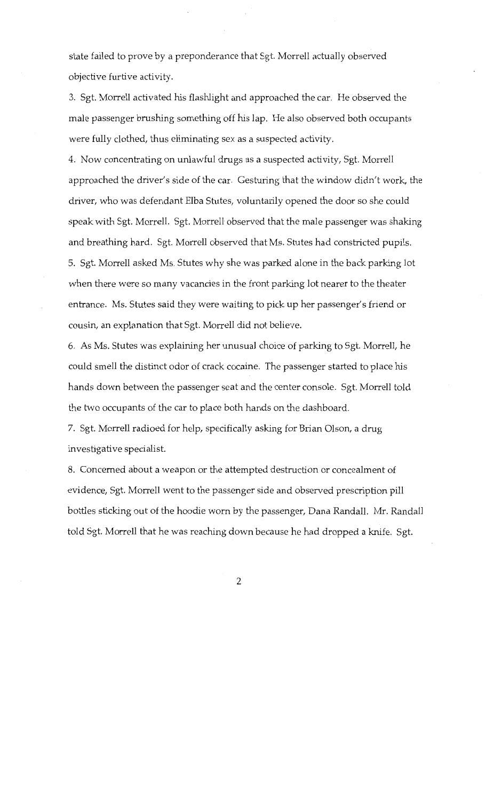state failed to prove by a preponderance that Sgt. Morrell actually observed objective furtive activity.

3. Sgt. Morrell activated his flashlight and approached the car. He observed the male passenger brushing something off his lap. He also observed both occupants were fully clothed, thus eliminating sex as a suspected activity.

4. Now concentrating on unlawful drugs as a suspected activity, Sgt. Morrell approached the driver's side of the car. Gesturing that the window didn't work, the driver, who was defendant Elba Stutes, voluntarily opened the door so she could speak with Sgt. Morrell. Sgt. Morrell observed that the male passenger was shaking and breathing hard. Sgt. Morrell observed that Ms. Stutes had constricted pupils. 5. Sgt. Morrell asked Ms. Stutes why she was parked alone in the back parking lot when there were so many vacancies in the front parking lot nearer to the theater entrance. Ms. Stutes said they were waiting to pick up her passenger's friend or cousin, an explanation that Sgt. Morrell did not believe.

6. As Ms. Stutes was explaining her unusual choice of parking to Sgt. Morrell, he could smell the distinct odor of crack cocaine. The passenger started to place his hands down between the passenger seat and the center console. Sgt. Morrell told the two occupants of the car to place both hands on the dashboard.

7. Sgt. Morrell radioed for help, specifically asking for Brian Olson, a drug investigative specialist.

8. Concerned about a weapon or the attempted destruction or concealment of evidence, Sgt. Morrell went to the passenger side and observed prescription pill bottles sticking out of the hoodie worn by the passenger, Dana Randall. Mr. Randall told Sgt. Morrell that he was reaching down because he had dropped a knife. Sgt.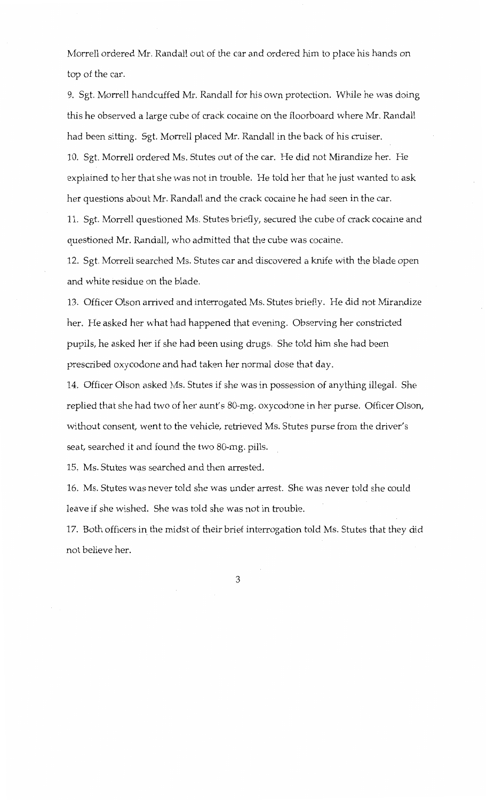Morrell ordered Mr. Randall out of the car and ordered him to place his hands on top of the car.

9. Sgt. Morrell handcuffed Mr. Randall for his own protection. While he was doing this he observed a large cube of crack cocaine on the floorboard where Mr. Randall had been sitting. Sgt. Morrell placed Mr. Randall in the back of his cruiser. 10. Sgt. Morrell ordered Ms. Stutes out of the car. He did not Mirandize her. He

explained to her that she was not in trouble. He told her that he just wanted to ask her questions about Mr. Randall and the crack cocaine he had seen in the car.

11. Sgt. Morrell questioned Ms. Stutes briefly, secured the cube of crack cocaine and questioned Mr. Randall, who admitted that the cube was cocaine.

12. Sgt. Morrell searched Ms. Stutes car and discovered a knife with the blade open and white residue on the blade.

13. Officer Olson arrived and interrogated Ms. Stutes briefly. He did not Mirandize her. He asked her what had happened that evening. Observing her constricted pupils, he asked her if she had been using drugs. She told him she had been prescribed oxycodone and had taken her normal dose that day.

14. Officer Olson asked Ms. Stutes if she was in possession of anything illegal. She replied that she had two of her aunt's 80-mg. oxycodone in her purse. Officer Olson, without consent, went to the vehicle, retrieved Ms. Stutes purse from the driver's seat, searched it and found the two 80-mg. pills.

15. Ms. Stutes was searched and then arrested.

16. Ms. Stutes was never told she was under arrest. She was never told she could leave if she wished. She was told she was not in trouble.

17. Both officers in the midst of their brief interrogation told Ms. Stutes that they did not believe her.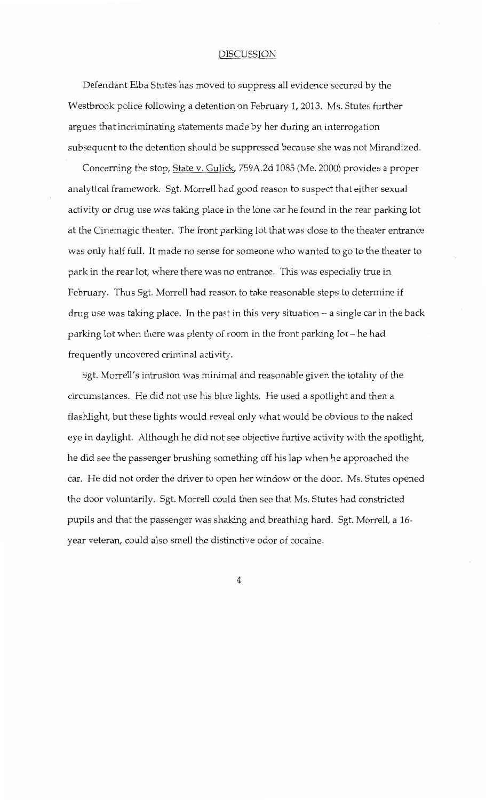## DISCUSSION

Defendant Elba Stutes has moved to suppress all evidence secured by the Westbrook police following a detention on February 1, 2013. Ms. Stutes further argues that incriminating statements made by her during an interrogation subsequent to the detention should be suppressed because she was not Mirandized.

Concerning the stop, State v. Gulick, 759A.2d 1085 (Me. 2000) provides a proper analytical framework. Sgt. Morrell had good reason to suspect that either sexual activity or drug use was taking place in the lone car he found in the rear parking lot at the Cinemagic theater. The front parking lot that was close to the theater entrance was only half full. It made no sense for someone who wanted to go to the theater to park in the rear lot, where there was no entrance. This was especially true in February. Thus Sgt. Morrell had reason to take reasonable steps to determine if drug use was taking place. In the past in this very situation  $-$  a single car in the back parking lot when there was plenty of room in the front parking lot- he had frequently uncovered criminal activity.

Sgt. Morrell's intrusion was minimal and reasonable given the totality of the circumstances. He did not use his blue lights. He used a spotlight and then a flashlight, but these lights would reveal only what would be obvious to the naked eye in daylight. Although he did not see objective furtive activity with the spotlight, he did see the passenger brushing something off his lap when he approached the car. He did not order the driver to open her window or the door. Ms. Stutes opened the door voluntarily. Sgt. Morrell could then see that Ms. Stutes had constricted pupils and that the passenger was shaking and breathing hard. Sgt. Morrell, a 16 year veteran, could also smell the distinctive odor of cocaine.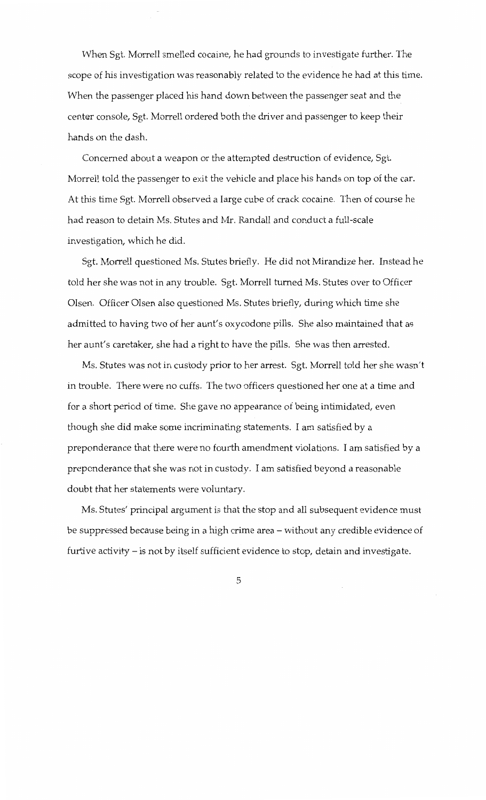When Sgt. Morrell smelled cocaine, he had grounds to investigate further. The scope of his investigation was reasonably related to the evidence he had at this time. When the passenger placed his hand down between the passenger seat and the center console, Sgt. Morrell ordered both the driver and passenger to keep their hands on the dash.

Concerned about a weapon or the attempted destruction of evidence, Sgt. Morrell told the passenger to exit the vehicle and place his hands on top of the car. At this time Sgt. Morrell observed a large cube of crack cocaine. Then of course he had reason to detain Ms. Stutes and Mr. Randall and conduct a full-scale investigation, which he did.

Sgt. Morrell questioned Ms. Stutes briefly. He did not Mirandize her. Instead he told her she was not in any trouble. Sgt. Morrell turned Ms. Stutes over to Officer Olsen. Officer Olsen also questioned Ms. Stutes briefly, during which time she admitted to having two of her aunt's oxycodone pills. She also maintained that as her aunt's caretaker, she had a right to have the pills. She was then arrested.

Ms. Stutes was not in custody prior to her arrest. Sgt. Morrell told her she wasn't in trouble. There were no cuffs. The two officers questioned her one at a time and for a short period of time. She gave no appearance of being intimidated, even though she did make some incriminating statements. I am satisfied by a preponderance that there were no fourth amendment violations. I am satisfied by a preponderance that she was not in custody. I am satisfied beyond a reasonable doubt that her statements were voluntary.

Ms. Stutes' principal argument is that the stop and all subsequent evidence must be suppressed because being in a high crime area- without any credible evidence of furtive activity – is not by itself sufficient evidence to stop, detain and investigate.